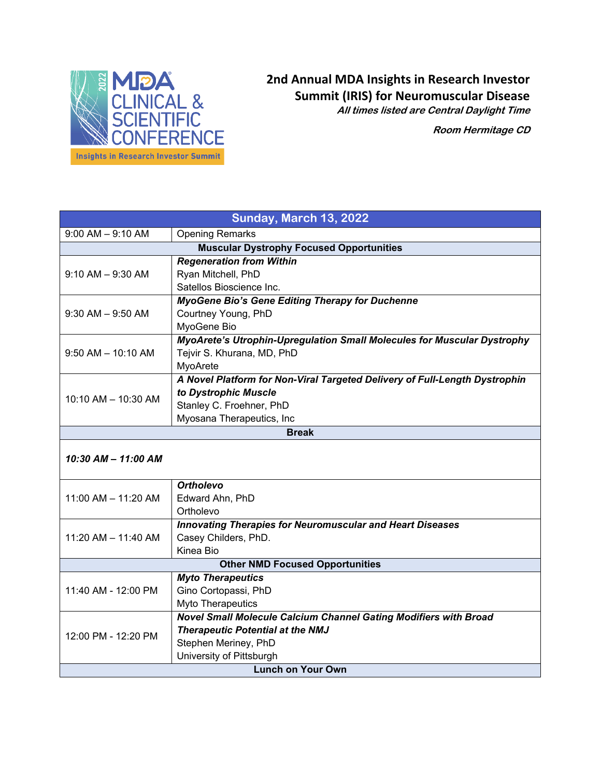

## **2nd Annual MDA Insights in Research Investor Summit (IRIS) for Neuromuscular Disease All times listed are Central Daylight Time**

**Room Hermitage CD**

| <b>Sunday, March 13, 2022</b>                   |                                                                                |  |
|-------------------------------------------------|--------------------------------------------------------------------------------|--|
| $9:00$ AM $-9:10$ AM                            | <b>Opening Remarks</b>                                                         |  |
| <b>Muscular Dystrophy Focused Opportunities</b> |                                                                                |  |
| $9:10$ AM $-$ 9:30 AM                           | <b>Regeneration from Within</b>                                                |  |
|                                                 | Ryan Mitchell, PhD                                                             |  |
|                                                 | Satellos Bioscience Inc.                                                       |  |
| $9:30$ AM $-9:50$ AM                            | <b>MyoGene Bio's Gene Editing Therapy for Duchenne</b>                         |  |
|                                                 | Courtney Young, PhD                                                            |  |
|                                                 | MyoGene Bio                                                                    |  |
| $9:50$ AM $-$ 10:10 AM                          | <b>MyoArete's Utrophin-Upregulation Small Molecules for Muscular Dystrophy</b> |  |
|                                                 | Tejvir S. Khurana, MD, PhD                                                     |  |
|                                                 | MyoArete                                                                       |  |
| 10:10 AM - 10:30 AM                             | A Novel Platform for Non-Viral Targeted Delivery of Full-Length Dystrophin     |  |
|                                                 | to Dystrophic Muscle                                                           |  |
|                                                 | Stanley C. Froehner, PhD                                                       |  |
|                                                 | Myosana Therapeutics, Inc.                                                     |  |
| <b>Break</b>                                    |                                                                                |  |
| 10:30 AM - 11:00 AM                             |                                                                                |  |
|                                                 |                                                                                |  |

| $11:00$ AM $- 11:20$ AM                | <b>Ortholevo</b>                                                        |  |
|----------------------------------------|-------------------------------------------------------------------------|--|
|                                        | Edward Ahn, PhD                                                         |  |
|                                        | Ortholevo                                                               |  |
| 11:20 AM $-$ 11:40 AM                  | <b>Innovating Therapies for Neuromuscular and Heart Diseases</b>        |  |
|                                        | Casey Childers, PhD.                                                    |  |
|                                        | Kinea Bio                                                               |  |
| <b>Other NMD Focused Opportunities</b> |                                                                         |  |
| 11:40 AM - 12:00 PM                    | <b>Myto Therapeutics</b>                                                |  |
|                                        | Gino Cortopassi, PhD                                                    |  |
|                                        | Myto Therapeutics                                                       |  |
| 12:00 PM - 12:20 PM                    | <b>Novel Small Molecule Calcium Channel Gating Modifiers with Broad</b> |  |
|                                        | <b>Therapeutic Potential at the NMJ</b>                                 |  |
|                                        | Stephen Meriney, PhD                                                    |  |
|                                        | University of Pittsburgh                                                |  |
| <b>Lunch on Your Own</b>               |                                                                         |  |